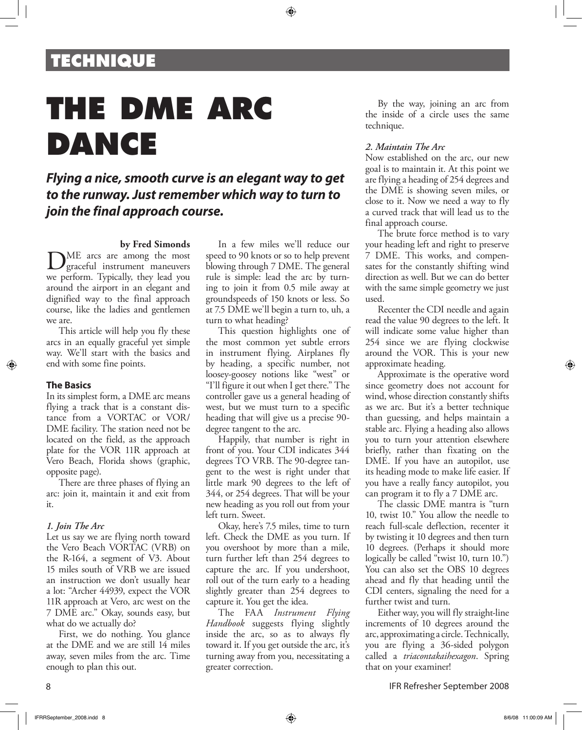## **TECHNIQUE**

# **THE DME ARC DANCE**

### *Flying a nice, smooth curve is an elegant way to get to the runway. Just remember which way to turn to join the final approach course.*

#### **by Fred Simonds**

DME arcs are among the most<br>graceful instrument maneuvers we perform. Typically, they lead you around the airport in an elegant and dignified way to the final approach course, like the ladies and gentlemen we are.

This article will help you fly these arcs in an equally graceful yet simple way. We'll start with the basics and end with some fine points.

#### **The Basics**

In its simplest form, a DME arc means flying a track that is a constant distance from a VORTAC or VOR/ DME facility. The station need not be located on the field, as the approach plate for the VOR 11R approach at Vero Beach, Florida shows (graphic, opposite page).

There are three phases of flying an arc: join it, maintain it and exit from it.

#### *1. Join The Arc*

Let us say we are flying north toward the Vero Beach VORTAC (VRB) on the R-164, a segment of V3. About 15 miles south of VRB we are issued an instruction we don't usually hear a lot: "Archer 44939, expect the VOR 11R approach at Vero, arc west on the 7 DME arc." Okay, sounds easy, but what do we actually do?

First, we do nothing. You glance at the DME and we are still 14 miles away, seven miles from the arc. Time enough to plan this out.

In a few miles we'll reduce our speed to 90 knots or so to help prevent blowing through 7 DME. The general rule is simple: lead the arc by turning to join it from 0.5 mile away at groundspeeds of 150 knots or less. So at 7.5 DME we'll begin a turn to, uh, a turn to what heading?

⊕

This question highlights one of the most common yet subtle errors in instrument flying. Airplanes fly by heading, a specific number, not loosey-goosey notions like "west" or "I'll figure it out when I get there." The controller gave us a general heading of west, but we must turn to a specific heading that will give us a precise 90 degree tangent to the arc.

Happily, that number is right in front of you. Your CDI indicates 344 degrees TO VRB. The 90-degree tangent to the west is right under that little mark 90 degrees to the left of 344, or 254 degrees. That will be your new heading as you roll out from your left turn. Sweet.

Okay, here's 7.5 miles, time to turn left. Check the DME as you turn. If you overshoot by more than a mile, turn further left than 254 degrees to capture the arc. If you undershoot, roll out of the turn early to a heading slightly greater than 254 degrees to capture it. You get the idea.

The FAA *Instrument Flying Handbook* suggests flying slightly inside the arc, so as to always fly toward it. If you get outside the arc, it's turning away from you, necessitating a greater correction.

By the way, joining an arc from the inside of a circle uses the same technique.

#### *2. Maintain The Arc*

Now established on the arc, our new goal is to maintain it. At this point we are flying a heading of 254 degrees and the DME is showing seven miles, or close to it. Now we need a way to fly a curved track that will lead us to the final approach course.

The brute force method is to vary your heading left and right to preserve 7 DME. This works, and compensates for the constantly shifting wind direction as well. But we can do better with the same simple geometry we just used.

Recenter the CDI needle and again read the value 90 degrees to the left. It will indicate some value higher than 254 since we are flying clockwise around the VOR. This is your new approximate heading.

Approximate is the operative word since geometry does not account for wind, whose direction constantly shifts as we arc. But it's a better technique than guessing, and helps maintain a stable arc. Flying a heading also allows you to turn your attention elsewhere briefly, rather than fixating on the DME. If you have an autopilot, use its heading mode to make life easier. If you have a really fancy autopilot, you can program it to fly a 7 DME arc.

The classic DME mantra is "turn 10, twist 10." You allow the needle to reach full-scale deflection, recenter it by twisting it 10 degrees and then turn 10 degrees. (Perhaps it should more logically be called "twist 10, turn 10.") You can also set the OBS 10 degrees ahead and fly that heading until the CDI centers, signaling the need for a further twist and turn.

Either way, you will fly straight-line increments of 10 degrees around the arc, approximating a circle. Technically, you are flying a 36-sided polygon called a *triacontakaihexagon*. Spring that on your examiner!

IFR Refresher September 2008

⊕